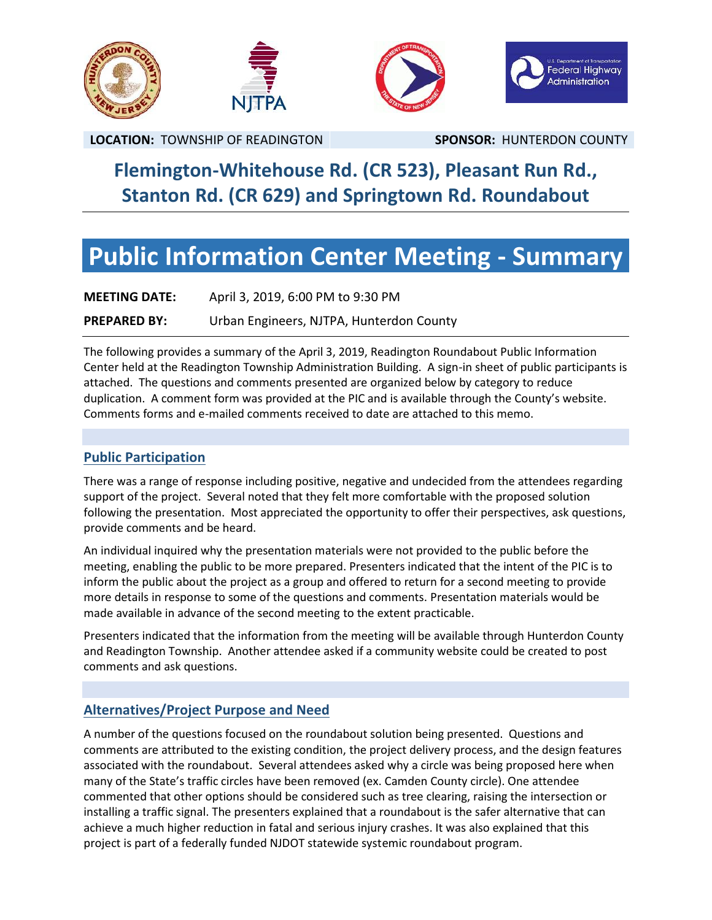

## **Flemington-Whitehouse Rd. (CR 523), Pleasant Run Rd., Stanton Rd. (CR 629) and Springtown Rd. Roundabout**

# **Public Information Center Meeting - Summary**

| <b>MEETING DATE:</b> | April 3, 2019, 6:00 PM to 9:30 PM        |
|----------------------|------------------------------------------|
| <b>PREPARED BY:</b>  | Urban Engineers, NJTPA, Hunterdon County |

The following provides a summary of the April 3, 2019, Readington Roundabout Public Information Center held at the Readington Township Administration Building. A sign-in sheet of public participants is attached. The questions and comments presented are organized below by category to reduce duplication. A comment form was provided at the PIC and is available through the County's website. Comments forms and e-mailed comments received to date are attached to this memo.

### **Public Participation**

There was a range of response including positive, negative and undecided from the attendees regarding support of the project. Several noted that they felt more comfortable with the proposed solution following the presentation. Most appreciated the opportunity to offer their perspectives, ask questions, provide comments and be heard.

An individual inquired why the presentation materials were not provided to the public before the meeting, enabling the public to be more prepared. Presenters indicated that the intent of the PIC is to inform the public about the project as a group and offered to return for a second meeting to provide more details in response to some of the questions and comments. Presentation materials would be made available in advance of the second meeting to the extent practicable.

Presenters indicated that the information from the meeting will be available through Hunterdon County and Readington Township. Another attendee asked if a community website could be created to post comments and ask questions.

## **Alternatives/Project Purpose and Need**

A number of the questions focused on the roundabout solution being presented. Questions and comments are attributed to the existing condition, the project delivery process, and the design features associated with the roundabout. Several attendees asked why a circle was being proposed here when many of the State's traffic circles have been removed (ex. Camden County circle). One attendee commented that other options should be considered such as tree clearing, raising the intersection or installing a traffic signal. The presenters explained that a roundabout is the safer alternative that can achieve a much higher reduction in fatal and serious injury crashes. It was also explained that this project is part of a federally funded NJDOT statewide systemic roundabout program.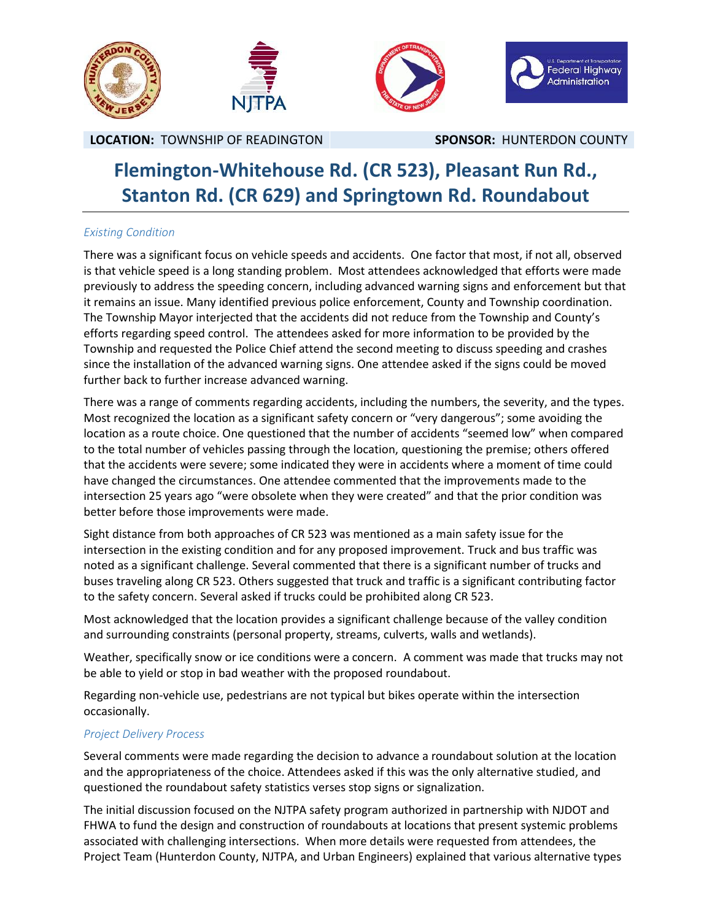

## **Flemington-Whitehouse Rd. (CR 523), Pleasant Run Rd., Stanton Rd. (CR 629) and Springtown Rd. Roundabout**

### *Existing Condition*

There was a significant focus on vehicle speeds and accidents. One factor that most, if not all, observed is that vehicle speed is a long standing problem. Most attendees acknowledged that efforts were made previously to address the speeding concern, including advanced warning signs and enforcement but that it remains an issue. Many identified previous police enforcement, County and Township coordination. The Township Mayor interjected that the accidents did not reduce from the Township and County's efforts regarding speed control. The attendees asked for more information to be provided by the Township and requested the Police Chief attend the second meeting to discuss speeding and crashes since the installation of the advanced warning signs. One attendee asked if the signs could be moved further back to further increase advanced warning.

There was a range of comments regarding accidents, including the numbers, the severity, and the types. Most recognized the location as a significant safety concern or "very dangerous"; some avoiding the location as a route choice. One questioned that the number of accidents "seemed low" when compared to the total number of vehicles passing through the location, questioning the premise; others offered that the accidents were severe; some indicated they were in accidents where a moment of time could have changed the circumstances. One attendee commented that the improvements made to the intersection 25 years ago "were obsolete when they were created" and that the prior condition was better before those improvements were made.

Sight distance from both approaches of CR 523 was mentioned as a main safety issue for the intersection in the existing condition and for any proposed improvement. Truck and bus traffic was noted as a significant challenge. Several commented that there is a significant number of trucks and buses traveling along CR 523. Others suggested that truck and traffic is a significant contributing factor to the safety concern. Several asked if trucks could be prohibited along CR 523.

Most acknowledged that the location provides a significant challenge because of the valley condition and surrounding constraints (personal property, streams, culverts, walls and wetlands).

Weather, specifically snow or ice conditions were a concern. A comment was made that trucks may not be able to yield or stop in bad weather with the proposed roundabout.

Regarding non-vehicle use, pedestrians are not typical but bikes operate within the intersection occasionally.

### *Project Delivery Process*

Several comments were made regarding the decision to advance a roundabout solution at the location and the appropriateness of the choice. Attendees asked if this was the only alternative studied, and questioned the roundabout safety statistics verses stop signs or signalization.

The initial discussion focused on the NJTPA safety program authorized in partnership with NJDOT and FHWA to fund the design and construction of roundabouts at locations that present systemic problems associated with challenging intersections. When more details were requested from attendees, the Project Team (Hunterdon County, NJTPA, and Urban Engineers) explained that various alternative types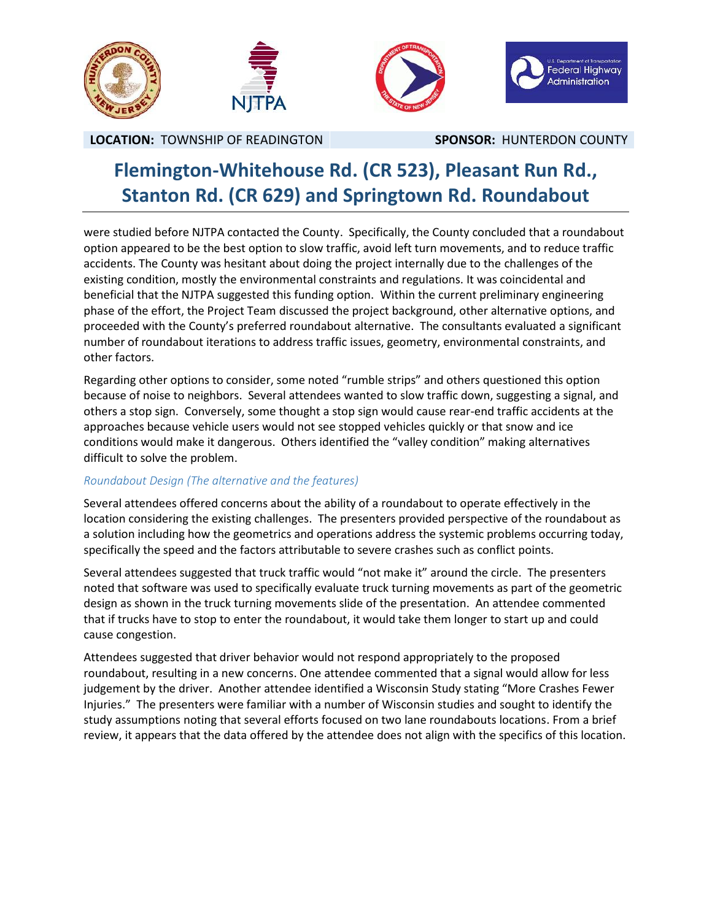

## **Flemington-Whitehouse Rd. (CR 523), Pleasant Run Rd., Stanton Rd. (CR 629) and Springtown Rd. Roundabout**

were studied before NJTPA contacted the County. Specifically, the County concluded that a roundabout option appeared to be the best option to slow traffic, avoid left turn movements, and to reduce traffic accidents. The County was hesitant about doing the project internally due to the challenges of the existing condition, mostly the environmental constraints and regulations. It was coincidental and beneficial that the NJTPA suggested this funding option. Within the current preliminary engineering phase of the effort, the Project Team discussed the project background, other alternative options, and proceeded with the County's preferred roundabout alternative. The consultants evaluated a significant number of roundabout iterations to address traffic issues, geometry, environmental constraints, and other factors.

Regarding other options to consider, some noted "rumble strips" and others questioned this option because of noise to neighbors. Several attendees wanted to slow traffic down, suggesting a signal, and others a stop sign. Conversely, some thought a stop sign would cause rear-end traffic accidents at the approaches because vehicle users would not see stopped vehicles quickly or that snow and ice conditions would make it dangerous. Others identified the "valley condition" making alternatives difficult to solve the problem.

### *Roundabout Design (The alternative and the features)*

Several attendees offered concerns about the ability of a roundabout to operate effectively in the location considering the existing challenges. The presenters provided perspective of the roundabout as a solution including how the geometrics and operations address the systemic problems occurring today, specifically the speed and the factors attributable to severe crashes such as conflict points.

Several attendees suggested that truck traffic would "not make it" around the circle. The presenters noted that software was used to specifically evaluate truck turning movements as part of the geometric design as shown in the truck turning movements slide of the presentation. An attendee commented that if trucks have to stop to enter the roundabout, it would take them longer to start up and could cause congestion.

Attendees suggested that driver behavior would not respond appropriately to the proposed roundabout, resulting in a new concerns. One attendee commented that a signal would allow for less judgement by the driver. Another attendee identified a Wisconsin Study stating "More Crashes Fewer Injuries." The presenters were familiar with a number of Wisconsin studies and sought to identify the study assumptions noting that several efforts focused on two lane roundabouts locations. From a brief review, it appears that the data offered by the attendee does not align with the specifics of this location.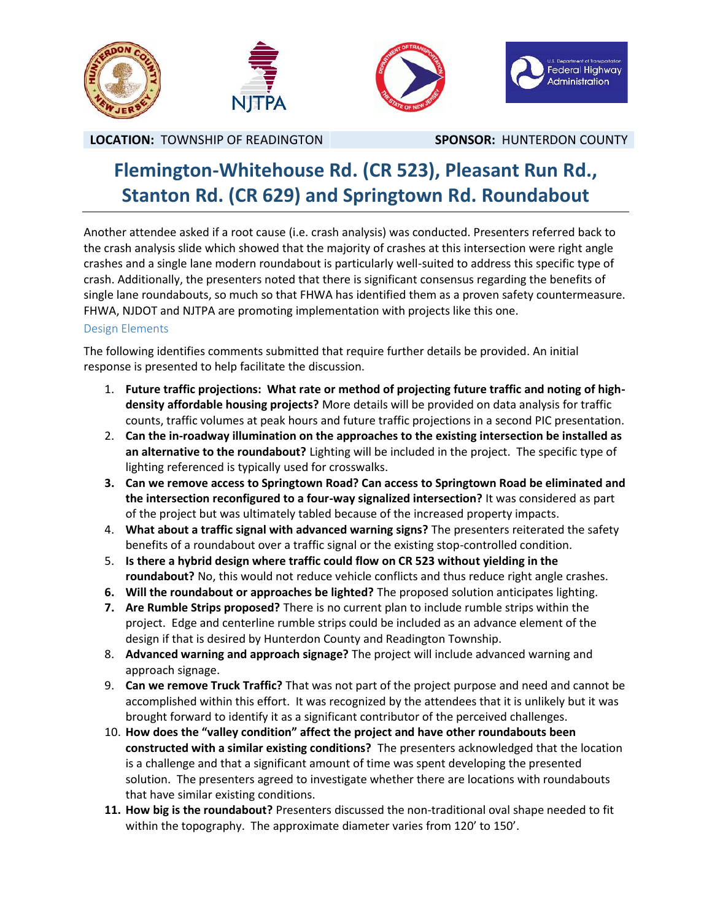

## **Flemington-Whitehouse Rd. (CR 523), Pleasant Run Rd., Stanton Rd. (CR 629) and Springtown Rd. Roundabout**

Another attendee asked if a root cause (i.e. crash analysis) was conducted. Presenters referred back to the crash analysis slide which showed that the majority of crashes at this intersection were right angle crashes and a single lane modern roundabout is particularly well-suited to address this specific type of crash. Additionally, the presenters noted that there is significant consensus regarding the benefits of single lane roundabouts, so much so that FHWA has identified them as a proven safety countermeasure. FHWA, NJDOT and NJTPA are promoting implementation with projects like this one.

### Design Elements

The following identifies comments submitted that require further details be provided. An initial response is presented to help facilitate the discussion.

- 1. **Future traffic projections: What rate or method of projecting future traffic and noting of high density affordable housing projects?** More details will be provided on data analysis for traffic counts, traffic volumes at peak hours and future traffic projections in a second PIC presentation.
- 2. **Can the in-roadway illumination on the approaches to the existing intersection be installed as an alternative to the roundabout?** Lighting will be included in the project. The specific type of lighting referenced is typically used for crosswalks.
- **3. Can we remove access to Springtown Road? Can access to Springtown Road be eliminated and the intersection reconfigured to a four-way signalized intersection?** It was considered as part of the project but was ultimately tabled because of the increased property impacts.
- 4. **What about a traffic signal with advanced warning signs?** The presenters reiterated the safety benefits of a roundabout over a traffic signal or the existing stop-controlled condition.
- 5. **Is there a hybrid design where traffic could flow on CR 523 without yielding in the roundabout?** No, this would not reduce vehicle conflicts and thus reduce right angle crashes.
- **6. Will the roundabout or approaches be lighted?** The proposed solution anticipates lighting.
- **7. Are Rumble Strips proposed?** There is no current plan to include rumble strips within the project. Edge and centerline rumble strips could be included as an advance element of the design if that is desired by Hunterdon County and Readington Township.
- 8. **Advanced warning and approach signage?** The project will include advanced warning and approach signage.
- 9. **Can we remove Truck Traffic?** That was not part of the project purpose and need and cannot be accomplished within this effort. It was recognized by the attendees that it is unlikely but it was brought forward to identify it as a significant contributor of the perceived challenges.
- 10. **How does the "valley condition" affect the project and have other roundabouts been constructed with a similar existing conditions?** The presenters acknowledged that the location is a challenge and that a significant amount of time was spent developing the presented solution. The presenters agreed to investigate whether there are locations with roundabouts that have similar existing conditions.
- **11. How big is the roundabout?** Presenters discussed the non-traditional oval shape needed to fit within the topography. The approximate diameter varies from 120' to 150'.